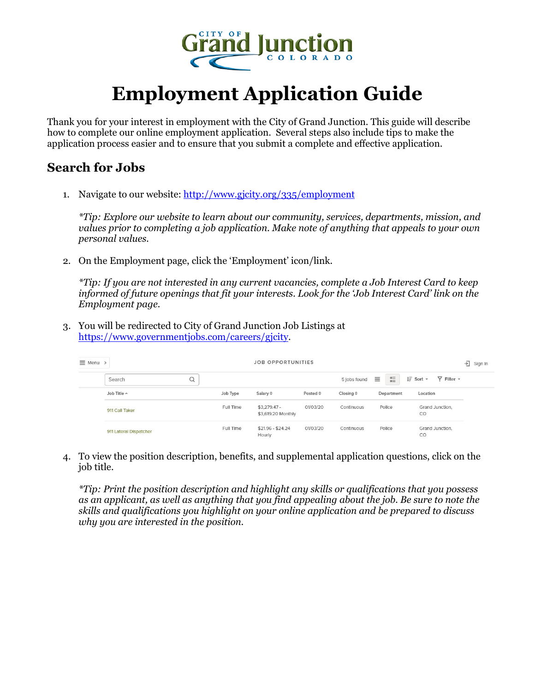

## **Employment Application Guide**

Thank you for your interest in employment with the City of Grand Junction. This guide will describe how to complete our online employment application. Several steps also include tips to make the application process easier and to ensure that you submit a complete and effective application.

## **Search for Jobs**

1. Navigate to our website:<http://www.gjcity.org/335/employment>

*\*Tip: Explore our website to learn about our community, services, departments, mission, and values prior to completing a job application. Make note of anything that appeals to your own personal values.*

2. On the Employment page, click the 'Employment' icon/link.

*\*Tip: If you are not interested in any current vacancies, complete a Job Interest Card to keep informed of future openings that fit your interests. Look for the 'Job Interest Card' link on the Employment page.*

3. You will be redirected to City of Grand Junction Job Listings at [https://www.governmentjobs.com/careers/gjcity.](https://www.governmentjobs.com/careers/gjcity)

| $\equiv$ Menu >        |           |                          |                                    | <b>JOB OPPORTUNITIES</b> |                          |                             |                                      |  |
|------------------------|-----------|--------------------------|------------------------------------|--------------------------|--------------------------|-----------------------------|--------------------------------------|--|
| Search                 | $\alpha$  |                          |                                    |                          | $\equiv$<br>5 jobs found | 罡<br>$I\bar{F}$ Sort $\sim$ | $\overline{Y}$ Filter $\overline{Y}$ |  |
| Job Title A            | Job Type  | Salary $\Leftrightarrow$ |                                    | Posted $\Leftrightarrow$ | Closing $\hat{=}$        | Department                  | Location                             |  |
| 911 Call Taker         | Full Time |                          | $$3,279.47-$<br>\$3,619.20 Monthly | 01/03/20                 | Continuous               | Police                      | Grand Junction.<br>CO                |  |
| 911 Lateral Dispatcher | Full Time | Hourly                   | $$21.96 - $24.24$                  | 01/03/20                 | Continuous               | Police                      | Grand Junction,<br>CO                |  |

4. To view the position description, benefits, and supplemental application questions, click on the job title.

*\*Tip: Print the position description and highlight any skills or qualifications that you possess as an applicant, as well as anything that you find appealing about the job. Be sure to note the skills and qualifications you highlight on your online application and be prepared to discuss why you are interested in the position.*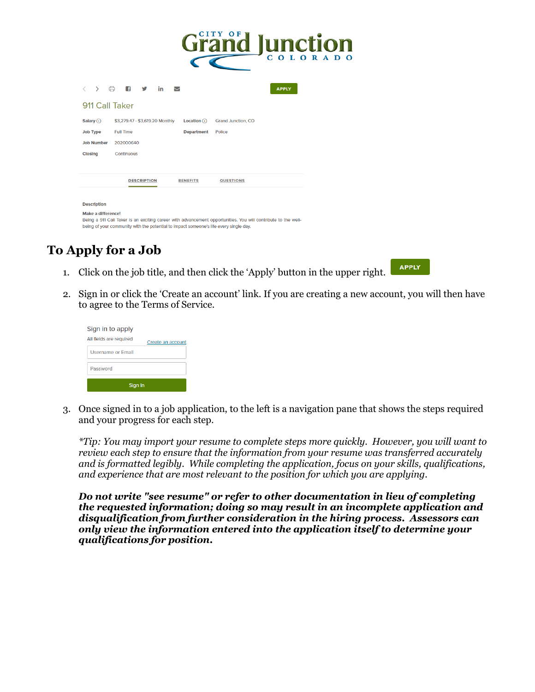|                           | CITY<br><u>id Junction</u>                                                                                                                                                                             |
|---------------------------|--------------------------------------------------------------------------------------------------------------------------------------------------------------------------------------------------------|
| ⋟                         | क़<br>Œ<br>in<br><b>APPLY</b><br>◡                                                                                                                                                                     |
| 911 Call Taker            |                                                                                                                                                                                                        |
| Salary $\odot$            | Location $(i)$<br>\$3,279.47 - \$3,619.20 Monthly<br>Grand Junction, CO                                                                                                                                |
| <b>Job Type</b>           | <b>Full Time</b><br><b>Department</b><br>Police                                                                                                                                                        |
| <b>Job Number</b>         | 202000640                                                                                                                                                                                              |
| Closing                   | Continuous                                                                                                                                                                                             |
|                           | <b>DESCRIPTION</b><br><b>BENEFITS</b><br><b>QUESTIONS</b>                                                                                                                                              |
| <b>Description</b>        |                                                                                                                                                                                                        |
| <b>Make a difference!</b> | Being a 911 Call Taker is an exciting career with advancement opportunities. You will contribute to the well-<br>being of your community with the potential to impact someone's life every single day. |

## **To Apply for a Job**

1. Click on the job title, and then click the 'Apply' button in the upper right.



2. Sign in or click the 'Create an account' link. If you are creating a new account, you will then have to agree to the Terms of Service.

| Sign in to apply                             |  |  |  |  |
|----------------------------------------------|--|--|--|--|
| All fields are required<br>Create an account |  |  |  |  |
| Username or Email                            |  |  |  |  |
| Password                                     |  |  |  |  |
| Sign In                                      |  |  |  |  |

3. Once signed in to a job application, to the left is a navigation pane that shows the steps required and your progress for each step.

*\*Tip: You may import your resume to complete steps more quickly. However, you will want to review each step to ensure that the information from your resume was transferred accurately and is formatted legibly. While completing the application, focus on your skills, qualifications, and experience that are most relevant to the position for which you are applying.* 

*Do not write "see resume" or refer to other documentation in lieu of completing the requested information; doing so may result in an incomplete application and disqualification from further consideration in the hiring process. Assessors can only view the information entered into the application itself to determine your qualifications for position.*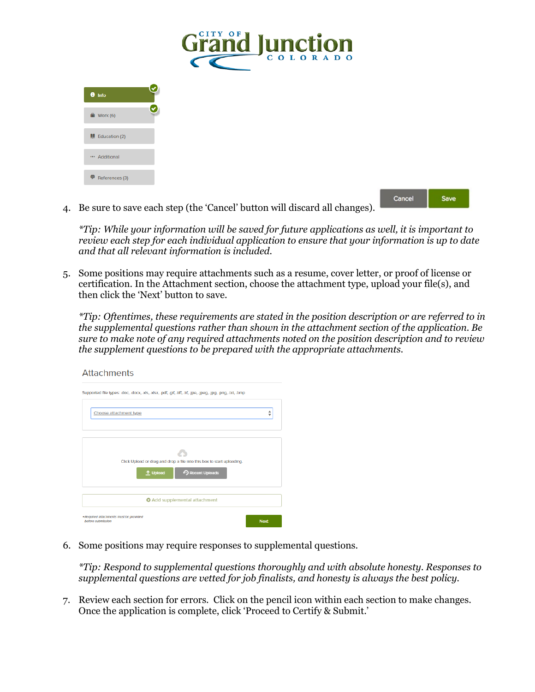

4. Be sure to save each step (the 'Cancel' button will discard all changes).

*\*Tip: While your information will be saved for future applications as well, it is important to review each step for each individual application to ensure that your information is up to date and that all relevant information is included.*

Save

5. Some positions may require attachments such as a resume, cover letter, or proof of license or certification. In the Attachment section, choose the attachment type, upload your file(s), and then click the 'Next' button to save.

*\*Tip: Oftentimes, these requirements are stated in the position description or are referred to in the supplemental questions rather than shown in the attachment section of the application. Be sure to make note of any required attachments noted on the position description and to review the supplement questions to be prepared with the appropriate attachments.*

| <u>AUTHILIO</u>                                                                                              |             |
|--------------------------------------------------------------------------------------------------------------|-------------|
| Supported file types: .doc, .docx, .xls, .xlsx, .pdf, .glf, .tiff, .tif, .jpe, .jpeg, .jpg, .png, .txt, .bmp |             |
| Choose attachment type                                                                                       | ዹ           |
|                                                                                                              |             |
|                                                                                                              |             |
| Click Upload or drag and drop a file into this box to start uploading.                                       |             |
| Recent Uploads<br><sup>1</sup> Upload                                                                        |             |
| <b>O</b> Add supplemental attachment                                                                         |             |
| *Required attachments must be provided<br>before submission                                                  | <b>Next</b> |

**Attachmonts** 

6. Some positions may require responses to supplemental questions.

*\*Tip: Respond to supplemental questions thoroughly and with absolute honesty. Responses to supplemental questions are vetted for job finalists, and honesty is always the best policy.*

7. Review each section for errors. Click on the pencil icon within each section to make changes. Once the application is complete, click 'Proceed to Certify & Submit.'